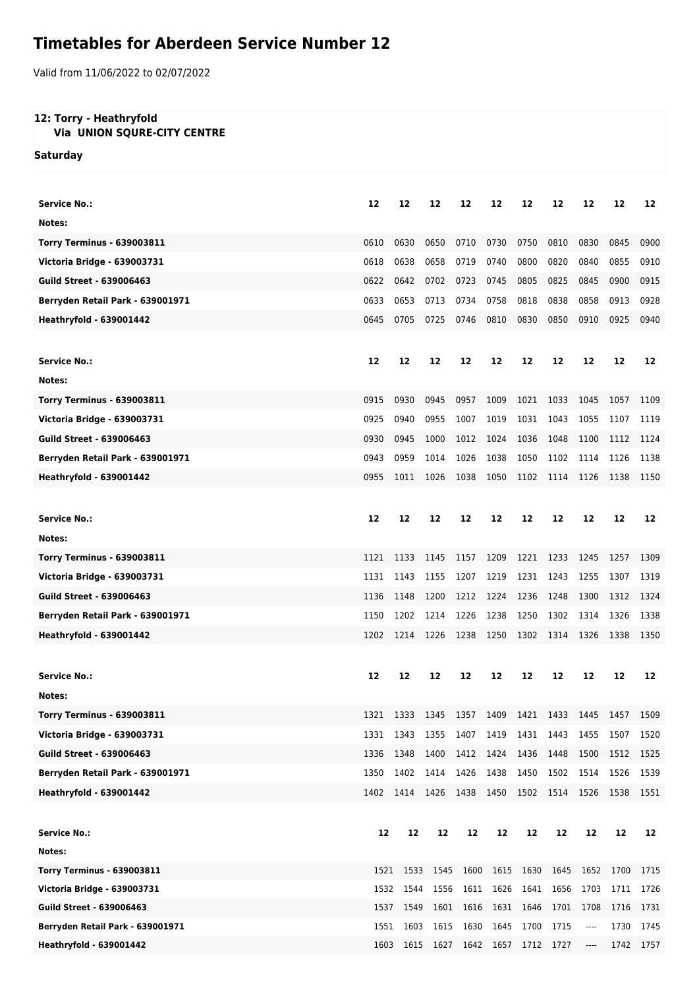## **Timetables for Aberdeen Service Number 12**

Valid from 11/06/2022 to 02/07/2022

## **12: Torry - Heathryfold**

## **Via UNION SQURE-CITY CENTRE**

**Saturday**

| <b>Service No.:</b>                                              |      | 12        |                |                                    |           |           |                          |                         |      |           |
|------------------------------------------------------------------|------|-----------|----------------|------------------------------------|-----------|-----------|--------------------------|-------------------------|------|-----------|
| Notes:                                                           | 12   |           | 12             | 12                                 | 12        | 12        | 12                       | 12                      | 12   | 12        |
|                                                                  | 0610 | 0630      | 0650           | 0710                               | 0730      | 0750      | 0810                     | 0830                    | 0845 | 0900      |
| <b>Torry Terminus - 639003811</b><br>Victoria Bridge - 639003731 |      | 0638      |                |                                    |           |           |                          |                         | 0855 |           |
|                                                                  | 0618 |           | 0658           | 0719                               | 0740      | 0800      | 0820                     | 0840                    |      | 0910      |
| <b>Guild Street - 639006463</b>                                  | 0622 | 0642      | 0702           | 0723                               | 0745      | 0805      | 0825                     | 0845                    | 0900 | 0915      |
| Berryden Retail Park - 639001971                                 | 0633 | 0653      | 0713           | 0734                               | 0758      | 0818      | 0838                     | 0858                    | 0913 | 0928      |
| <b>Heathryfold - 639001442</b>                                   | 0645 | 0705      | 0725           | 0746                               | 0810      | 0830      | 0850                     | 0910                    | 0925 | 0940      |
|                                                                  |      |           |                |                                    |           |           |                          |                         |      |           |
| <b>Service No.:</b>                                              | 12   | 12        | 12             | 12                                 | 12        | 12        | 12                       | 12                      | 12   | 12        |
| Notes:                                                           |      |           |                |                                    |           |           |                          |                         |      |           |
| <b>Torry Terminus - 639003811</b>                                | 0915 | 0930      | 0945           | 0957                               | 1009      | 1021      | 1033                     | 1045                    | 1057 | 1109      |
| Victoria Bridge - 639003731                                      | 0925 | 0940      | 0955           | 1007                               | 1019      | 1031      | 1043                     | 1055                    | 1107 | 1119      |
| <b>Guild Street - 639006463</b>                                  | 0930 | 0945      | 1000           | 1012                               | 1024      | 1036      | 1048                     | 1100                    | 1112 | 1124      |
| Berryden Retail Park - 639001971                                 | 0943 | 0959      | 1014           | 1026                               | 1038      | 1050      | 1102                     | 1114                    | 1126 | 1138      |
| <b>Heathryfold - 639001442</b>                                   | 0955 | 1011      | 1026           | 1038                               | 1050      | 1102      | 1114                     | 1126                    | 1138 | 1150      |
|                                                                  |      |           |                |                                    |           |           |                          |                         |      |           |
| <b>Service No.:</b>                                              | 12   | 12        | 12             | 12                                 | 12        | 12        | 12                       | 12                      | 12   | 12        |
| Notes:                                                           |      |           |                |                                    |           |           |                          |                         |      |           |
| <b>Torry Terminus - 639003811</b>                                | 1121 | 1133      | 1145           | 1157                               | 1209      | 1221      | 1233                     | 1245                    | 1257 | 1309      |
| Victoria Bridge - 639003731                                      | 1131 | 1143      | 1155           | 1207                               | 1219      | 1231      | 1243                     | 1255                    | 1307 | 1319      |
| <b>Guild Street - 639006463</b>                                  | 1136 | 1148      | 1200           | 1212                               | 1224      | 1236      | 1248                     | 1300                    | 1312 | 1324      |
| Berryden Retail Park - 639001971                                 | 1150 | 1202      | 1214           | 1226                               | 1238      | 1250      | 1302                     | 1314                    | 1326 | 1338      |
| <b>Heathryfold - 639001442</b>                                   | 1202 | 1214      | 1226           | 1238                               | 1250      | 1302      | 1314                     | 1326                    | 1338 | 1350      |
|                                                                  |      |           |                |                                    |           |           |                          |                         |      |           |
| <b>Service No.:</b>                                              | 12   | 12        | 12             | 12                                 | 12        | 12        | 12                       | 12                      | 12   | 12        |
| Notes:                                                           |      |           |                |                                    |           |           |                          |                         |      |           |
| <b>Torry Terminus - 639003811</b>                                | 1321 | 1333 1345 |                | 1357                               |           |           | 1409 1421 1433 1445 1457 |                         |      | 1509      |
| Victoria Bridge - 639003731                                      | 1331 | 1343      | 1355           | 1407                               | 1419      | 1431 1443 |                          | 1455                    | 1507 | 1520      |
| <b>Guild Street - 639006463</b>                                  | 1336 | 1348      | 1400           | 1412                               | 1424      | 1436      | 1448                     | 1500                    | 1512 | 1525      |
| Berryden Retail Park - 639001971                                 | 1350 | 1402      | 1414           | 1426                               | 1438      | 1450      | 1502                     | 1514                    | 1526 | 1539      |
| <b>Heathryfold - 639001442</b>                                   | 1402 |           | 1414 1426 1438 |                                    | 1450 1502 |           | 1514                     | 1526                    | 1538 | 1551      |
|                                                                  |      |           |                |                                    |           |           |                          |                         |      |           |
| <b>Service No.:</b>                                              | 12   | 12        | 12             | 12                                 | 12        | 12        | 12                       | 12                      | 12   | 12        |
| Notes:                                                           |      |           |                |                                    |           |           |                          |                         |      |           |
| <b>Torry Terminus - 639003811</b>                                | 1521 | 1533      | 1545           | 1600                               | 1615      | 1630      | 1645                     | 1652                    | 1700 | 1715      |
| Victoria Bridge - 639003731                                      | 1532 | 1544      | 1556           |                                    | 1611 1626 | 1641      | 1656                     | 1703                    | 1711 | 1726      |
| <b>Guild Street - 639006463</b>                                  | 1537 | 1549      | 1601           | 1616                               | 1631      | 1646      | 1701                     | 1708                    | 1716 | 1731      |
| Berryden Retail Park - 639001971                                 | 1551 | 1603      | 1615           | 1630                               | 1645      | 1700      | 1715                     | $\cdots$                | 1730 | 1745      |
| <b>Heathryfold - 639001442</b>                                   |      |           |                | 1603 1615 1627 1642 1657 1712 1727 |           |           |                          | $\hspace{0.05cm}\ldots$ |      | 1742 1757 |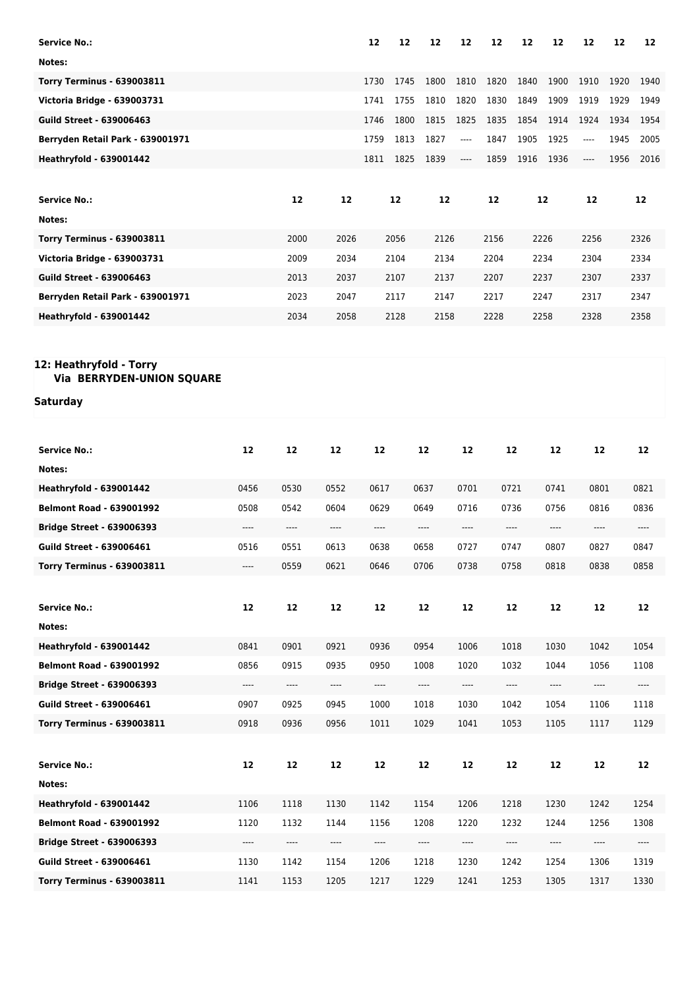| <b>Service No.:</b>               |            |            |            | 12                                                                   | 12   | 12         | 12         | 12                                           | 12   | 12    | 12                                                                                                                                                                                                                 | 12   | 12                                                   |
|-----------------------------------|------------|------------|------------|----------------------------------------------------------------------|------|------------|------------|----------------------------------------------|------|-------|--------------------------------------------------------------------------------------------------------------------------------------------------------------------------------------------------------------------|------|------------------------------------------------------|
| Notes:                            |            |            |            |                                                                      |      |            |            |                                              |      |       |                                                                                                                                                                                                                    |      |                                                      |
| <b>Torry Terminus - 639003811</b> |            |            |            | 1730                                                                 | 1745 | 1800       | 1810       | 1820                                         | 1840 | 1900  | 1910                                                                                                                                                                                                               | 1920 | 1940                                                 |
| Victoria Bridge - 639003731       |            |            |            | 1741                                                                 | 1755 | 1810       | 1820       | 1830                                         | 1849 | 1909  | 1919                                                                                                                                                                                                               | 1929 | 1949                                                 |
| <b>Guild Street - 639006463</b>   |            |            |            | 1746                                                                 | 1800 | 1815       | 1825       | 1835                                         | 1854 | 1914  | 1924                                                                                                                                                                                                               | 1934 | 1954                                                 |
| Berryden Retail Park - 639001971  |            |            |            | 1759                                                                 | 1813 | 1827       | ----       | 1847                                         | 1905 | 1925  | ----                                                                                                                                                                                                               | 1945 | 2005                                                 |
| <b>Heathryfold - 639001442</b>    |            |            |            | 1811                                                                 | 1825 | 1839       | ----       | 1859                                         | 1916 | 1936  | $\hspace{0.015cm} \hspace{0.02cm} \hspace{0.02cm} \hspace{0.02cm} \hspace{0.02cm} \hspace{0.02cm} \hspace{0.02cm} \hspace{0.02cm} \hspace{0.02cm} \hspace{0.02cm} \hspace{0.02cm} \hspace{0.02cm} \hspace{0.02cm}$ | 1956 | 2016                                                 |
|                                   |            |            |            |                                                                      |      |            |            |                                              |      |       |                                                                                                                                                                                                                    |      |                                                      |
| <b>Service No.:</b>               |            | 12         | 12         |                                                                      | 12   | 12         |            | 12                                           |      | 12    | 12                                                                                                                                                                                                                 |      | 12                                                   |
| Notes:                            |            |            |            |                                                                      |      |            |            |                                              |      |       |                                                                                                                                                                                                                    |      |                                                      |
| <b>Torry Terminus - 639003811</b> |            | 2000       | 2026       | 2056                                                                 |      | 2126       |            | 2156                                         | 2226 |       | 2256                                                                                                                                                                                                               |      | 2326                                                 |
| Victoria Bridge - 639003731       |            | 2009       | 2034       | 2104                                                                 |      | 2134       |            | 2204                                         |      | 2234  | 2304                                                                                                                                                                                                               |      | 2334                                                 |
| <b>Guild Street - 639006463</b>   |            | 2013       | 2037       |                                                                      | 2107 | 2137       |            | 2207                                         |      | 2237  | 2307                                                                                                                                                                                                               |      | 2337                                                 |
| Berryden Retail Park - 639001971  |            | 2023       | 2047       | 2117                                                                 |      | 2147       |            | 2217                                         | 2247 |       | 2317                                                                                                                                                                                                               |      | 2347                                                 |
| <b>Heathryfold - 639001442</b>    |            | 2034       | 2058       |                                                                      | 2128 | 2158       |            | 2228                                         |      | 2258  | 2328                                                                                                                                                                                                               |      | 2358                                                 |
|                                   |            |            |            |                                                                      |      |            |            |                                              |      |       |                                                                                                                                                                                                                    |      |                                                      |
| 12: Heathryfold - Torry           |            |            |            |                                                                      |      |            |            |                                              |      |       |                                                                                                                                                                                                                    |      |                                                      |
| Via BERRYDEN-UNION SQUARE         |            |            |            |                                                                      |      |            |            |                                              |      |       |                                                                                                                                                                                                                    |      |                                                      |
| Saturday                          |            |            |            |                                                                      |      |            |            |                                              |      |       |                                                                                                                                                                                                                    |      |                                                      |
|                                   |            |            |            |                                                                      |      |            |            |                                              |      |       |                                                                                                                                                                                                                    |      |                                                      |
|                                   |            |            |            |                                                                      |      |            |            |                                              |      |       |                                                                                                                                                                                                                    |      |                                                      |
| <b>Service No.:</b>               | 12         | 12         | 12         | 12                                                                   |      | 12         | 12         | 12                                           |      | 12    | 12                                                                                                                                                                                                                 |      | 12                                                   |
| Notes:                            |            |            |            |                                                                      |      |            |            |                                              |      |       |                                                                                                                                                                                                                    |      |                                                      |
| <b>Heathryfold - 639001442</b>    | 0456       | 0530       | 0552       | 0617                                                                 |      | 0637       | 0701       | 0721                                         |      | 0741  | 0801                                                                                                                                                                                                               |      | 0821                                                 |
| <b>Belmont Road - 639001992</b>   | 0508       | 0542       | 0604       | 0629                                                                 |      | 0649       | 0716       | 0736                                         |      | 0756  | 0816                                                                                                                                                                                                               |      | 0836                                                 |
| <b>Bridge Street - 639006393</b>  | ----       | $---$      | ----       | ----                                                                 |      | ----       | $---$      | $\hspace{1.5cm} \textbf{---} \hspace{1.5cm}$ |      | $---$ | ----                                                                                                                                                                                                               |      | ----                                                 |
| <b>Guild Street - 639006461</b>   | 0516       | 0551       | 0613       | 0638                                                                 |      | 0658       | 0727       | 0747                                         |      | 0807  | 0827                                                                                                                                                                                                               |      | 0847                                                 |
| <b>Torry Terminus - 639003811</b> | ----       | 0559       | 0621       | 0646                                                                 |      | 0706       | 0738       | 0758                                         |      | 0818  | 0838                                                                                                                                                                                                               |      | 0858                                                 |
|                                   |            |            |            |                                                                      |      |            |            |                                              |      |       |                                                                                                                                                                                                                    |      |                                                      |
| <b>Service No.:</b>               | 12         | ${\bf 12}$ | ${\bf 12}$ | 12                                                                   |      | ${\bf 12}$ | ${\bf 12}$ | ${\bf 12}$                                   |      | 12    | 12                                                                                                                                                                                                                 |      | 12                                                   |
| Notes:                            |            |            |            |                                                                      |      |            |            |                                              |      |       |                                                                                                                                                                                                                    |      |                                                      |
| <b>Heathryfold - 639001442</b>    | 0841       | 0901       | 0921       | 0936                                                                 |      | 0954       | 1006       | 1018                                         |      | 1030  | 1042                                                                                                                                                                                                               |      | 1054                                                 |
| <b>Belmont Road - 639001992</b>   | 0856       | 0915       | 0935       | 0950                                                                 |      | 1008       | 1020       | 1032                                         |      | 1044  | 1056                                                                                                                                                                                                               |      | 1108                                                 |
| <b>Bridge Street - 639006393</b>  | ----       | ----       | ----       | $\hspace{0.05cm}\rule{0.7pt}{0.1ex}\hspace{0.025cm}\hspace{0.025cm}$ |      | ----       | ----       | ----                                         |      | ----  | ----                                                                                                                                                                                                               |      | $\hspace{0.05cm}\rule{0.7pt}{0.1ex}\hspace{0.025cm}$ |
| <b>Guild Street - 639006461</b>   | 0907       | 0925       | 0945       | 1000                                                                 |      | 1018       | 1030       | 1042                                         |      | 1054  | 1106                                                                                                                                                                                                               |      | 1118                                                 |
| <b>Torry Terminus - 639003811</b> | 0918       | 0936       | 0956       | 1011                                                                 |      | 1029       | 1041       | 1053                                         |      | 1105  | 1117                                                                                                                                                                                                               |      | 1129                                                 |
|                                   |            |            |            |                                                                      |      |            |            |                                              |      |       |                                                                                                                                                                                                                    |      |                                                      |
| <b>Service No.:</b>               | ${\bf 12}$ | ${\bf 12}$ | 12         | 12                                                                   |      | 12         | ${\bf 12}$ | ${\bf 12}$                                   |      | 12    | 12                                                                                                                                                                                                                 |      | 12                                                   |
| Notes:                            |            |            |            |                                                                      |      |            |            |                                              |      |       |                                                                                                                                                                                                                    |      |                                                      |
| <b>Heathryfold - 639001442</b>    | 1106       | 1118       | 1130       | 1142                                                                 |      | 1154       | 1206       | 1218                                         |      | 1230  | 1242                                                                                                                                                                                                               |      | 1254                                                 |
| <b>Belmont Road - 639001992</b>   | 1120       | 1132       | 1144       | 1156                                                                 |      | 1208       | 1220       | 1232                                         |      | 1244  | 1256                                                                                                                                                                                                               |      | 1308                                                 |
| <b>Bridge Street - 639006393</b>  | ----       | $\cdots$   | ----       | ----                                                                 |      | ----       | ----       | ----                                         |      | ----  | ----                                                                                                                                                                                                               |      | ----                                                 |
| <b>Guild Street - 639006461</b>   | 1130       | 1142       | 1154       | 1206                                                                 |      | 1218       | 1230       | 1242                                         |      | 1254  | 1306                                                                                                                                                                                                               |      | 1319                                                 |
| <b>Torry Terminus - 639003811</b> | 1141       | 1153       | 1205       | 1217                                                                 |      | 1229       | 1241       | 1253                                         |      | 1305  | 1317                                                                                                                                                                                                               |      | 1330                                                 |